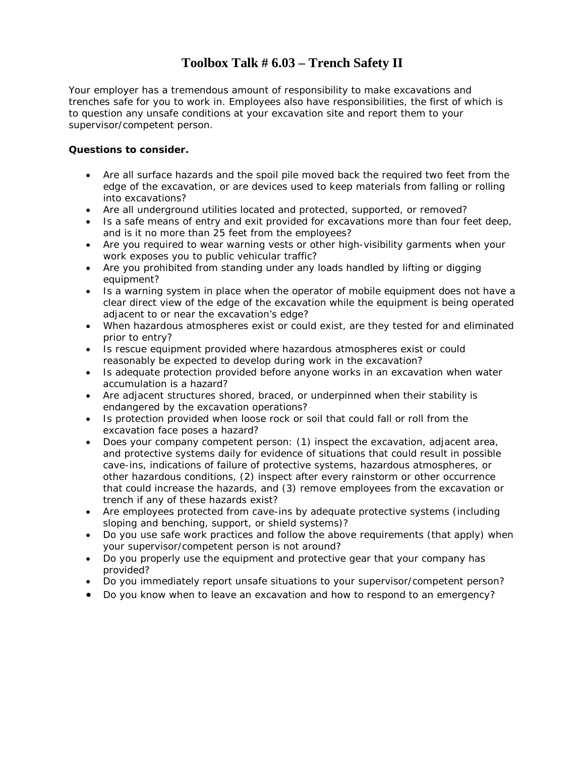#### **Toolbox Talk # 6.03 – Trench Safety II**

Your employer has a tremendous amount of responsibility to make excavations and trenches safe for you to work in. Employees also have responsibilities, the first of which is to question any unsafe conditions at your excavation site and report them to your supervisor/competent person.

#### **Questions to consider.**

- Are all surface hazards and the spoil pile moved back the required two feet from the edge of the excavation, or are devices used to keep materials from falling or rolling into excavations?
- Are all underground utilities located and protected, supported, or removed?
- Is a safe means of entry and exit provided for excavations more than four feet deep, and is it no more than 25 feet from the employees?
- Are you required to wear warning vests or other high-visibility garments when your work exposes you to public vehicular traffic?
- Are you prohibited from standing under any loads handled by lifting or digging equipment?
- Is a warning system in place when the operator of mobile equipment does not have a clear direct view of the edge of the excavation while the equipment is being operated adjacent to or near the excavation's edge?
- When hazardous atmospheres exist or could exist, are they tested for and eliminated prior to entry?
- Is rescue equipment provided where hazardous atmospheres exist or could reasonably be expected to develop during work in the excavation?
- Is adequate protection provided before anyone works in an excavation when water accumulation is a hazard?
- Are adjacent structures shored, braced, or underpinned when their stability is endangered by the excavation operations?
- Is protection provided when loose rock or soil that could fall or roll from the excavation face poses a hazard?
- Does your company competent person: (1) inspect the excavation, adjacent area, and protective systems daily for evidence of situations that could result in possible cave-ins, indications of failure of protective systems, hazardous atmospheres, or other hazardous conditions, (2) inspect after every rainstorm or other occurrence that could increase the hazards, and (3) remove employees from the excavation or trench if any of these hazards exist?
- Are employees protected from cave-ins by adequate protective systems (including sloping and benching, support, or shield systems)?
- Do you use safe work practices and follow the above requirements (that apply) when your supervisor/competent person is not around?
- Do you properly use the equipment and protective gear that your company has provided?
- Do you immediately report unsafe situations to your supervisor/competent person?
- Do you know when to leave an excavation and how to respond to an emergency?